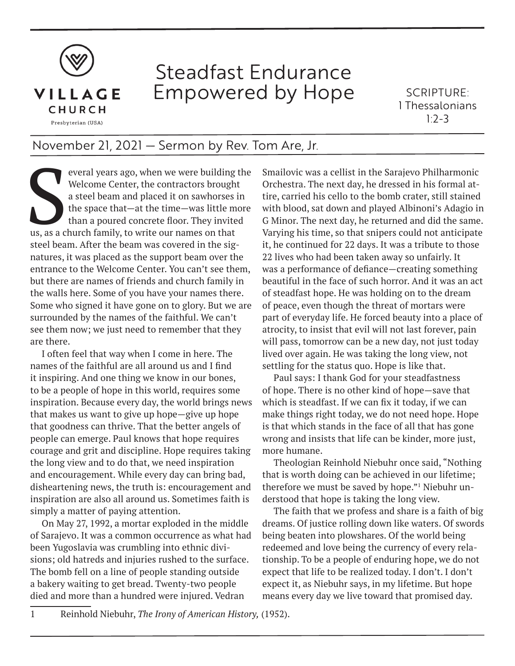

## Steadfast Endurance Empowered by Hope

SCRIPTURE: 1 Thessalonians  $1.2 - 3$ 

## November 21, 2021 — Sermon by Rev. Tom Are, Jr.

everal years ago, when we were building the Welcome Center, the contractors brought a steel beam and placed it on sawhorses in the space that—at the time—was little more than a poured concrete floor. They invited us, as a Welcome Center, the contractors brought a steel beam and placed it on sawhorses in the space that—at the time—was little more than a poured concrete floor. They invited steel beam. After the beam was covered in the signatures, it was placed as the support beam over the entrance to the Welcome Center. You can't see them, but there are names of friends and church family in the walls here. Some of you have your names there. Some who signed it have gone on to glory. But we are surrounded by the names of the faithful. We can't see them now; we just need to remember that they are there.

I often feel that way when I come in here. The names of the faithful are all around us and I find it inspiring. And one thing we know in our bones, to be a people of hope in this world, requires some inspiration. Because every day, the world brings news that makes us want to give up hope—give up hope that goodness can thrive. That the better angels of people can emerge. Paul knows that hope requires courage and grit and discipline. Hope requires taking the long view and to do that, we need inspiration and encouragement. While every day can bring bad, disheartening news, the truth is: encouragement and inspiration are also all around us. Sometimes faith is simply a matter of paying attention.

On May 27, 1992, a mortar exploded in the middle of Sarajevo. It was a common occurrence as what had been Yugoslavia was crumbling into ethnic divisions; old hatreds and injuries rushed to the surface. The bomb fell on a line of people standing outside a bakery waiting to get bread. Twenty-two people died and more than a hundred were injured. Vedran

Smailovic was a cellist in the Sarajevo Philharmonic Orchestra. The next day, he dressed in his formal attire, carried his cello to the bomb crater, still stained with blood, sat down and played Albinoni's Adagio in G Minor. The next day, he returned and did the same. Varying his time, so that snipers could not anticipate it, he continued for 22 days. It was a tribute to those 22 lives who had been taken away so unfairly. It was a performance of defiance—creating something beautiful in the face of such horror. And it was an act of steadfast hope. He was holding on to the dream of peace, even though the threat of mortars were part of everyday life. He forced beauty into a place of atrocity, to insist that evil will not last forever, pain will pass, tomorrow can be a new day, not just today lived over again. He was taking the long view, not settling for the status quo. Hope is like that.

Paul says: I thank God for your steadfastness of hope. There is no other kind of hope—save that which is steadfast. If we can fix it today, if we can make things right today, we do not need hope. Hope is that which stands in the face of all that has gone wrong and insists that life can be kinder, more just, more humane.

Theologian Reinhold Niebuhr once said, "Nothing that is worth doing can be achieved in our lifetime; therefore we must be saved by hope."<sup>1</sup> Niebuhr understood that hope is taking the long view.

The faith that we profess and share is a faith of big dreams. Of justice rolling down like waters. Of swords being beaten into plowshares. Of the world being redeemed and love being the currency of every relationship. To be a people of enduring hope, we do not expect that life to be realized today. I don't. I don't expect it, as Niebuhr says, in my lifetime. But hope means every day we live toward that promised day.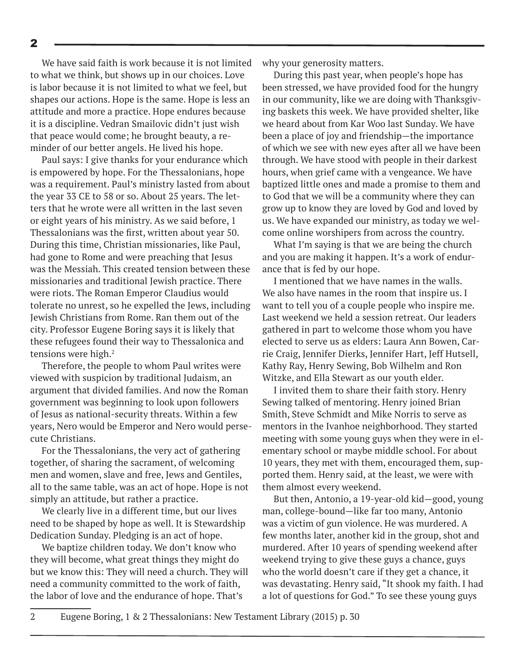We have said faith is work because it is not limited to what we think, but shows up in our choices. Love is labor because it is not limited to what we feel, but shapes our actions. Hope is the same. Hope is less an attitude and more a practice. Hope endures because it is a discipline. Vedran Smailovic didn't just wish that peace would come; he brought beauty, a reminder of our better angels. He lived his hope.

Paul says: I give thanks for your endurance which is empowered by hope. For the Thessalonians, hope was a requirement. Paul's ministry lasted from about the year 33 CE to 58 or so. About 25 years. The letters that he wrote were all written in the last seven or eight years of his ministry. As we said before, 1 Thessalonians was the first, written about year 50. During this time, Christian missionaries, like Paul, had gone to Rome and were preaching that Jesus was the Messiah. This created tension between these missionaries and traditional Jewish practice. There were riots. The Roman Emperor Claudius would tolerate no unrest, so he expelled the Jews, including Jewish Christians from Rome. Ran them out of the city. Professor Eugene Boring says it is likely that these refugees found their way to Thessalonica and tensions were high. $2$ 

Therefore, the people to whom Paul writes were viewed with suspicion by traditional Judaism, an argument that divided families. And now the Roman government was beginning to look upon followers of Jesus as national-security threats. Within a few years, Nero would be Emperor and Nero would persecute Christians.

For the Thessalonians, the very act of gathering together, of sharing the sacrament, of welcoming men and women, slave and free, Jews and Gentiles, all to the same table, was an act of hope. Hope is not simply an attitude, but rather a practice.

We clearly live in a different time, but our lives need to be shaped by hope as well. It is Stewardship Dedication Sunday. Pledging is an act of hope.

We baptize children today. We don't know who they will become, what great things they might do but we know this: They will need a church. They will need a community committed to the work of faith, the labor of love and the endurance of hope. That's

why your generosity matters.

During this past year, when people's hope has been stressed, we have provided food for the hungry in our community, like we are doing with Thanksgiving baskets this week. We have provided shelter, like we heard about from Kar Woo last Sunday. We have been a place of joy and friendship—the importance of which we see with new eyes after all we have been through. We have stood with people in their darkest hours, when grief came with a vengeance. We have baptized little ones and made a promise to them and to God that we will be a community where they can grow up to know they are loved by God and loved by us. We have expanded our ministry, as today we welcome online worshipers from across the country.

What I'm saying is that we are being the church and you are making it happen. It's a work of endurance that is fed by our hope.

I mentioned that we have names in the walls. We also have names in the room that inspire us. I want to tell you of a couple people who inspire me. Last weekend we held a session retreat. Our leaders gathered in part to welcome those whom you have elected to serve us as elders: Laura Ann Bowen, Carrie Craig, Jennifer Dierks, Jennifer Hart, Jeff Hutsell, Kathy Ray, Henry Sewing, Bob Wilhelm and Ron Witzke, and Ella Stewart as our youth elder.

I invited them to share their faith story. Henry Sewing talked of mentoring. Henry joined Brian Smith, Steve Schmidt and Mike Norris to serve as mentors in the Ivanhoe neighborhood. They started meeting with some young guys when they were in elementary school or maybe middle school. For about 10 years, they met with them, encouraged them, supported them. Henry said, at the least, we were with them almost every weekend.

But then, Antonio, a 19-year-old kid—good, young man, college-bound—like far too many, Antonio was a victim of gun violence. He was murdered. A few months later, another kid in the group, shot and murdered. After 10 years of spending weekend after weekend trying to give these guys a chance, guys who the world doesn't care if they get a chance, it was devastating. Henry said, "It shook my faith. I had a lot of questions for God." To see these young guys